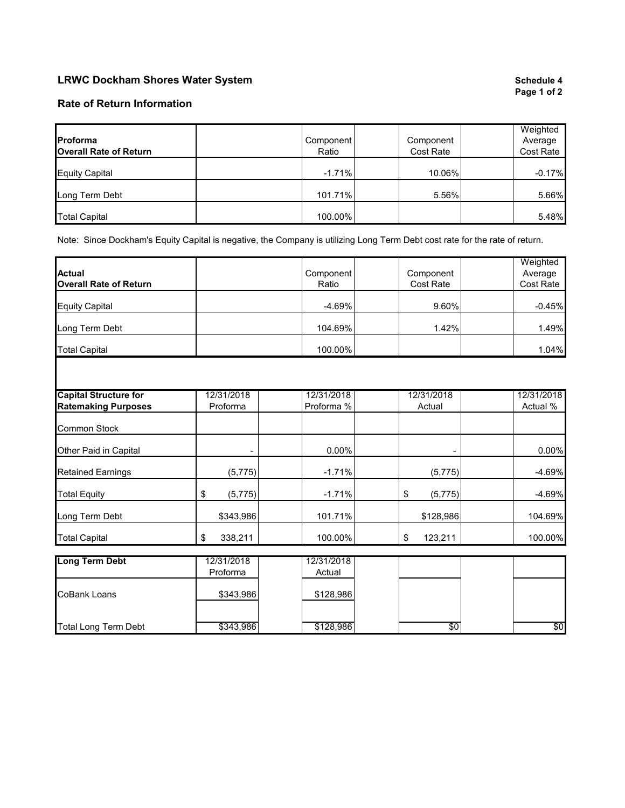## **LRWC Dockham Shores Water System Schedule 4 Schedule 4 Schedule 4 Schedule 4 Schedule 4**

# **Page 1 of 2**

## **Rate of Return Information**

|                               |           |           | Weighted  |
|-------------------------------|-----------|-----------|-----------|
| Proforma                      | Component | Component | Average   |
| <b>Overall Rate of Return</b> | Ratio     | Cost Rate | Cost Rate |
|                               |           |           |           |
| <b>Equity Capital</b>         | $-1.71%$  | 10.06%    | $-0.17%$  |
|                               |           |           |           |
| Long Term Debt                | 101.71%   | 5.56%     | 5.66%     |
|                               |           |           |           |
| <b>Total Capital</b>          | 100.00%   |           | 5.48%     |

Note: Since Dockham's Equity Capital is negative, the Company is utilizing Long Term Debt cost rate for the rate of return.

|                               |                        |                      |                | Weighted   |
|-------------------------------|------------------------|----------------------|----------------|------------|
| <b>Actual</b>                 |                        | Component            | Component      | Average    |
| <b>Overall Rate of Return</b> |                        | Ratio                | Cost Rate      | Cost Rate  |
| <b>Equity Capital</b>         |                        | $-4.69%$             | 9.60%          | $-0.45%$   |
| Long Term Debt                |                        | 104.69%              | 1.42%          | 1.49%      |
| <b>Total Capital</b>          |                        | 100.00%              |                | 1.04%      |
|                               |                        |                      |                |            |
| <b>Capital Structure for</b>  | 12/31/2018             | 12/31/2018           | 12/31/2018     | 12/31/2018 |
| <b>Ratemaking Purposes</b>    | Proforma               | Proforma %           | Actual         | Actual %   |
|                               |                        |                      |                |            |
| <b>Common Stock</b>           |                        |                      |                |            |
|                               |                        |                      |                |            |
| Other Paid in Capital         |                        | 0.00%                |                | 0.00%      |
| <b>Retained Earnings</b>      | (5, 775)               | $-1.71%$             | (5, 775)       | $-4.69%$   |
| <b>Total Equity</b>           | \$<br>(5,775)          | $-1.71%$             | \$<br>(5, 775) | $-4.69%$   |
| Long Term Debt                | \$343,986              | 101.71%              | \$128,986      | 104.69%    |
| <b>Total Capital</b>          | 338,211<br>\$          | 100.00%              | 123,211<br>\$  | 100.00%    |
|                               |                        |                      |                |            |
| <b>Long Term Debt</b>         | 12/31/2018<br>Proforma | 12/31/2018<br>Actual |                |            |
| <b>CoBank Loans</b>           | \$343,986              | \$128,986            |                |            |
| <b>Total Long Term Debt</b>   | \$343,986              | \$128,986            | \$0            | \$0        |